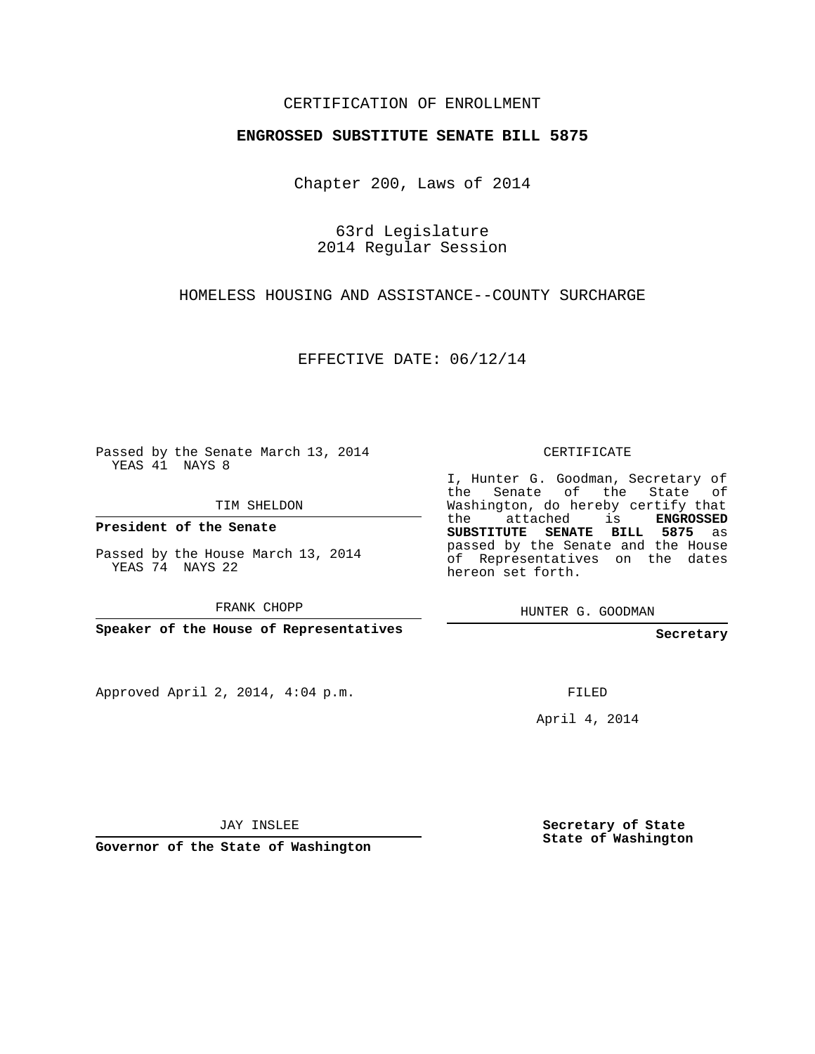## CERTIFICATION OF ENROLLMENT

## **ENGROSSED SUBSTITUTE SENATE BILL 5875**

Chapter 200, Laws of 2014

63rd Legislature 2014 Regular Session

HOMELESS HOUSING AND ASSISTANCE--COUNTY SURCHARGE

EFFECTIVE DATE: 06/12/14

Passed by the Senate March 13, 2014 YEAS 41 NAYS 8

TIM SHELDON

**President of the Senate**

Passed by the House March 13, 2014 YEAS 74 NAYS 22

FRANK CHOPP

**Speaker of the House of Representatives**

Approved April 2, 2014, 4:04 p.m.

CERTIFICATE

I, Hunter G. Goodman, Secretary of the Senate of the State of Washington, do hereby certify that the attached is **ENGROSSED SUBSTITUTE SENATE BILL 5875** as passed by the Senate and the House of Representatives on the dates hereon set forth.

HUNTER G. GOODMAN

**Secretary**

FILED

April 4, 2014

JAY INSLEE

**Governor of the State of Washington**

**Secretary of State State of Washington**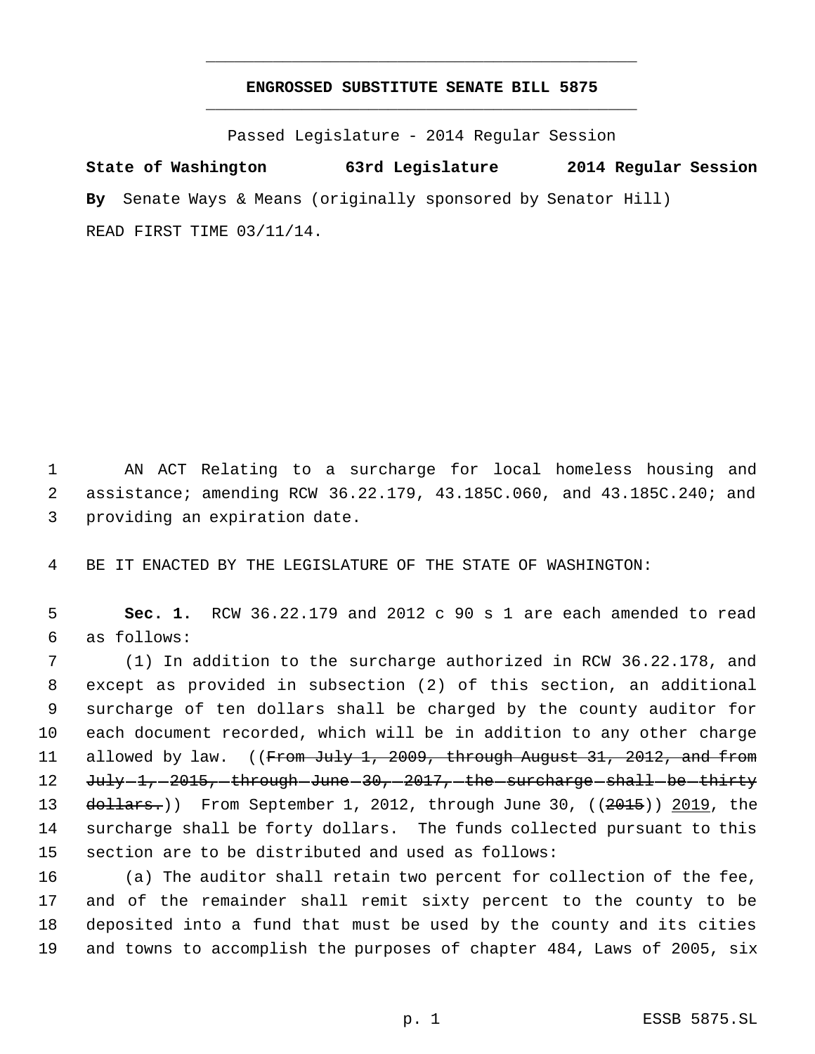## **ENGROSSED SUBSTITUTE SENATE BILL 5875** \_\_\_\_\_\_\_\_\_\_\_\_\_\_\_\_\_\_\_\_\_\_\_\_\_\_\_\_\_\_\_\_\_\_\_\_\_\_\_\_\_\_\_\_\_

\_\_\_\_\_\_\_\_\_\_\_\_\_\_\_\_\_\_\_\_\_\_\_\_\_\_\_\_\_\_\_\_\_\_\_\_\_\_\_\_\_\_\_\_\_

Passed Legislature - 2014 Regular Session

**State of Washington 63rd Legislature 2014 Regular Session By** Senate Ways & Means (originally sponsored by Senator Hill) READ FIRST TIME 03/11/14.

 1 AN ACT Relating to a surcharge for local homeless housing and 2 assistance; amending RCW 36.22.179, 43.185C.060, and 43.185C.240; and 3 providing an expiration date.

4 BE IT ENACTED BY THE LEGISLATURE OF THE STATE OF WASHINGTON:

 5 **Sec. 1.** RCW 36.22.179 and 2012 c 90 s 1 are each amended to read 6 as follows:

 (1) In addition to the surcharge authorized in RCW 36.22.178, and except as provided in subsection (2) of this section, an additional surcharge of ten dollars shall be charged by the county auditor for each document recorded, which will be in addition to any other charge 11 allowed by law. ((From July 1, 2009, through August 31, 2012, and from 12 July 1, 2015, through June 30, 2017, the surcharge shall be thirty 13 dollars.)) From September 1, 2012, through June 30, ((2015)) 2019, the surcharge shall be forty dollars. The funds collected pursuant to this section are to be distributed and used as follows:

 (a) The auditor shall retain two percent for collection of the fee, and of the remainder shall remit sixty percent to the county to be deposited into a fund that must be used by the county and its cities and towns to accomplish the purposes of chapter 484, Laws of 2005, six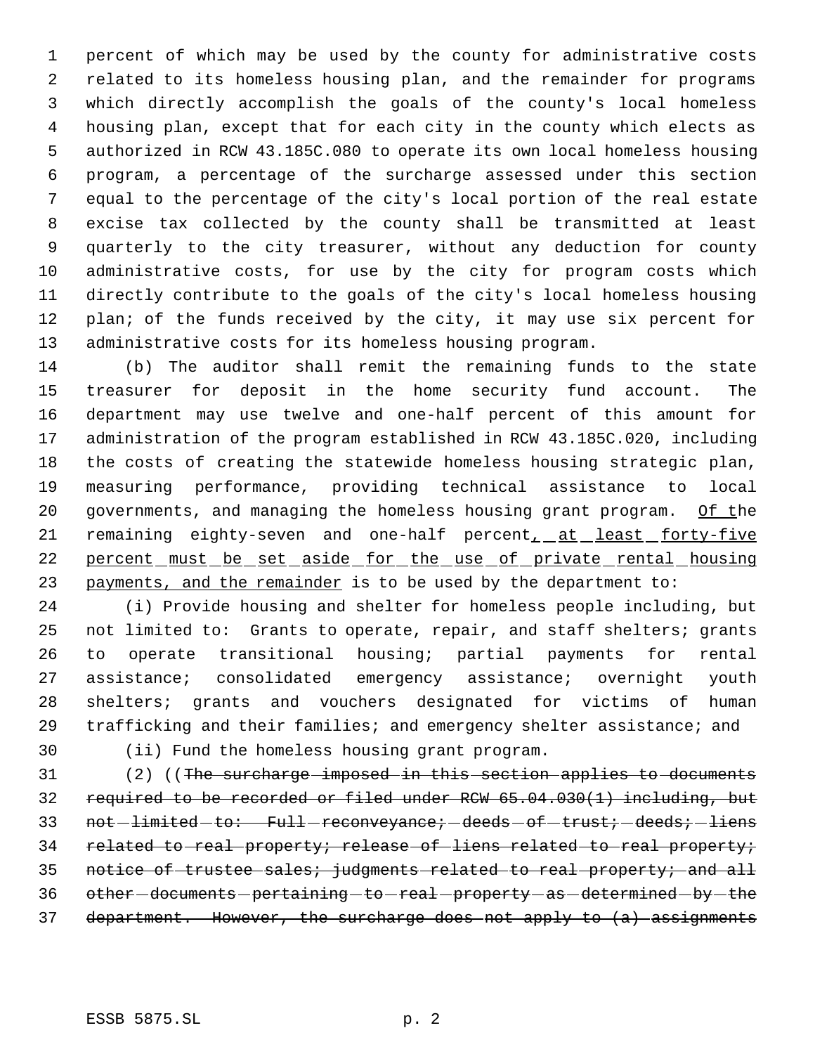percent of which may be used by the county for administrative costs related to its homeless housing plan, and the remainder for programs which directly accomplish the goals of the county's local homeless housing plan, except that for each city in the county which elects as authorized in RCW 43.185C.080 to operate its own local homeless housing program, a percentage of the surcharge assessed under this section equal to the percentage of the city's local portion of the real estate excise tax collected by the county shall be transmitted at least quarterly to the city treasurer, without any deduction for county administrative costs, for use by the city for program costs which directly contribute to the goals of the city's local homeless housing 12 plan; of the funds received by the city, it may use six percent for administrative costs for its homeless housing program.

 (b) The auditor shall remit the remaining funds to the state treasurer for deposit in the home security fund account. The department may use twelve and one-half percent of this amount for administration of the program established in RCW 43.185C.020, including the costs of creating the statewide homeless housing strategic plan, measuring performance, providing technical assistance to local 20 governments, and managing the homeless housing grant program. Of the 21 remaining eighty-seven and one-half percent, at least forty-five 22 percent must be set aside for the use of private rental housing 23 payments, and the remainder is to be used by the department to:

 (i) Provide housing and shelter for homeless people including, but not limited to: Grants to operate, repair, and staff shelters; grants to operate transitional housing; partial payments for rental assistance; consolidated emergency assistance; overnight youth shelters; grants and vouchers designated for victims of human trafficking and their families; and emergency shelter assistance; and

(ii) Fund the homeless housing grant program.

31 (2) ((The surcharge imposed in this section applies to documents required to be recorded or filed under RCW 65.04.030(1) including, but 33 not-limited-to: Full-reconveyance; deeds-of-trust; deeds; liens 34 related to real property; release of liens related to real property; 35 notice of trustee sales; judgments related to real property; and all 36 other-documents-pertaining-to-real-property-as-determined-by-the department. However, the surcharge does not apply to (a) assignments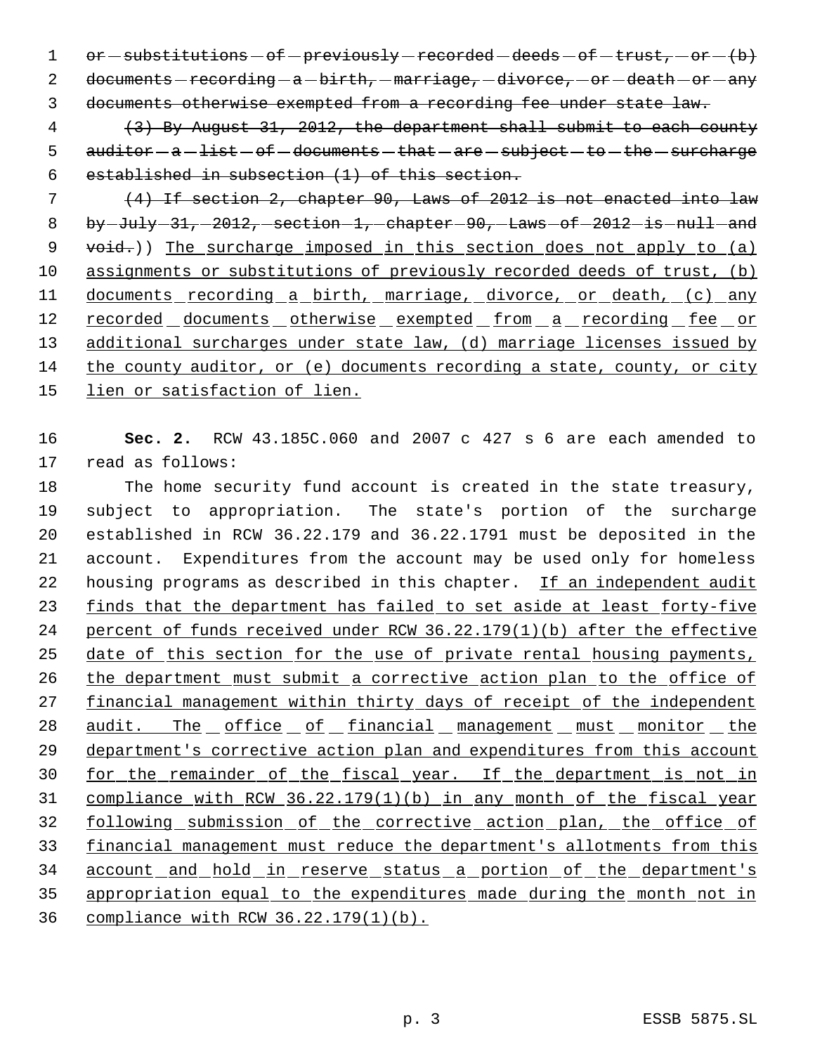$1$  or  $-$  substitutions  $-$  of  $-$  previously  $-$  recorded  $-$  deeds  $-$  of  $-$  trust,  $-$  or  $-$  (b) 2 documents - recording - a - birth, - marriage, -divorce, - or - death - or - any 3 documents otherwise exempted from a recording fee under state law.

 4 (3) By August 31, 2012, the department shall submit to each county 5 auditor - a - list - of - documents - that - are - subject - to - the - surcharge 6 established in subsection (1) of this section.

 7 (4) If section 2, chapter 90, Laws of 2012 is not enacted into law 8 by  $July - 31, -2012, -section - 1, -chapter - 90, -Laws - of -2012 - is - null - and$ 9 void.)) The surcharge imposed in this section does not apply to (a) 10 assignments or substitutions of previously recorded deeds of trust, (b) 11 documents recording a birth, marriage, divorce, or death, (c) any 12 recorded documents otherwise exempted from a recording fee or 13 additional surcharges under state law, (d) marriage licenses issued by 14 the county auditor, or (e) documents recording a state, county, or city 15 lien or satisfaction of lien.

16 **Sec. 2.** RCW 43.185C.060 and 2007 c 427 s 6 are each amended to 17 read as follows:

 The home security fund account is created in the state treasury, subject to appropriation. The state's portion of the surcharge established in RCW 36.22.179 and 36.22.1791 must be deposited in the account. Expenditures from the account may be used only for homeless 22 housing programs as described in this chapter. If an independent audit 23 finds that the department has failed to set aside at least forty-five percent of funds received under RCW 36.22.179(1)(b) after the effective 25 date of this section for the use of private rental housing payments, 26 the department must submit a corrective action plan to the office of 27 financial management within thirty days of receipt of the independent 28 audit. The office of financial management must monitor the 29 department's corrective action plan and expenditures from this account for the remainder of the fiscal year. If the department is not in compliance with RCW 36.22.179(1)(b) in any month of the fiscal year following submission of the corrective action plan, the office of financial management must reduce the department's allotments from this account and hold in reserve status a portion of the department's appropriation equal to the expenditures made during the month not in compliance with RCW 36.22.179(1)(b).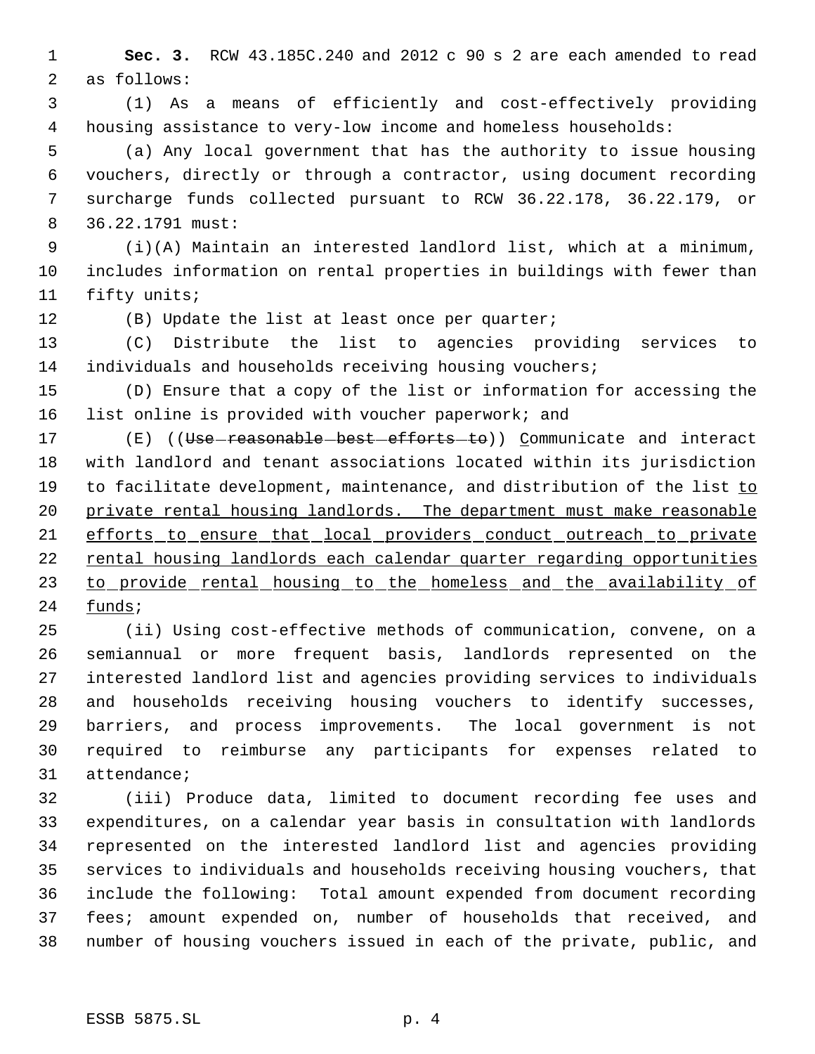**Sec. 3.** RCW 43.185C.240 and 2012 c 90 s 2 are each amended to read as follows:

 (1) As a means of efficiently and cost-effectively providing housing assistance to very-low income and homeless households:

 (a) Any local government that has the authority to issue housing vouchers, directly or through a contractor, using document recording surcharge funds collected pursuant to RCW 36.22.178, 36.22.179, or 36.22.1791 must:

 (i)(A) Maintain an interested landlord list, which at a minimum, includes information on rental properties in buildings with fewer than fifty units;

(B) Update the list at least once per quarter;

 (C) Distribute the list to agencies providing services to individuals and households receiving housing vouchers;

 (D) Ensure that a copy of the list or information for accessing the list online is provided with voucher paperwork; and

17 (E) ((Use reasonable best efforts to)) Communicate and interact with landlord and tenant associations located within its jurisdiction 19 to facilitate development, maintenance, and distribution of the list to 20 private rental housing landlords. The department must make reasonable 21 efforts to ensure that local providers conduct outreach to private rental housing landlords each calendar quarter regarding opportunities 23 to provide rental housing to the homeless and the availability of funds;

 (ii) Using cost-effective methods of communication, convene, on a semiannual or more frequent basis, landlords represented on the interested landlord list and agencies providing services to individuals and households receiving housing vouchers to identify successes, barriers, and process improvements. The local government is not required to reimburse any participants for expenses related to attendance;

 (iii) Produce data, limited to document recording fee uses and expenditures, on a calendar year basis in consultation with landlords represented on the interested landlord list and agencies providing services to individuals and households receiving housing vouchers, that include the following: Total amount expended from document recording fees; amount expended on, number of households that received, and number of housing vouchers issued in each of the private, public, and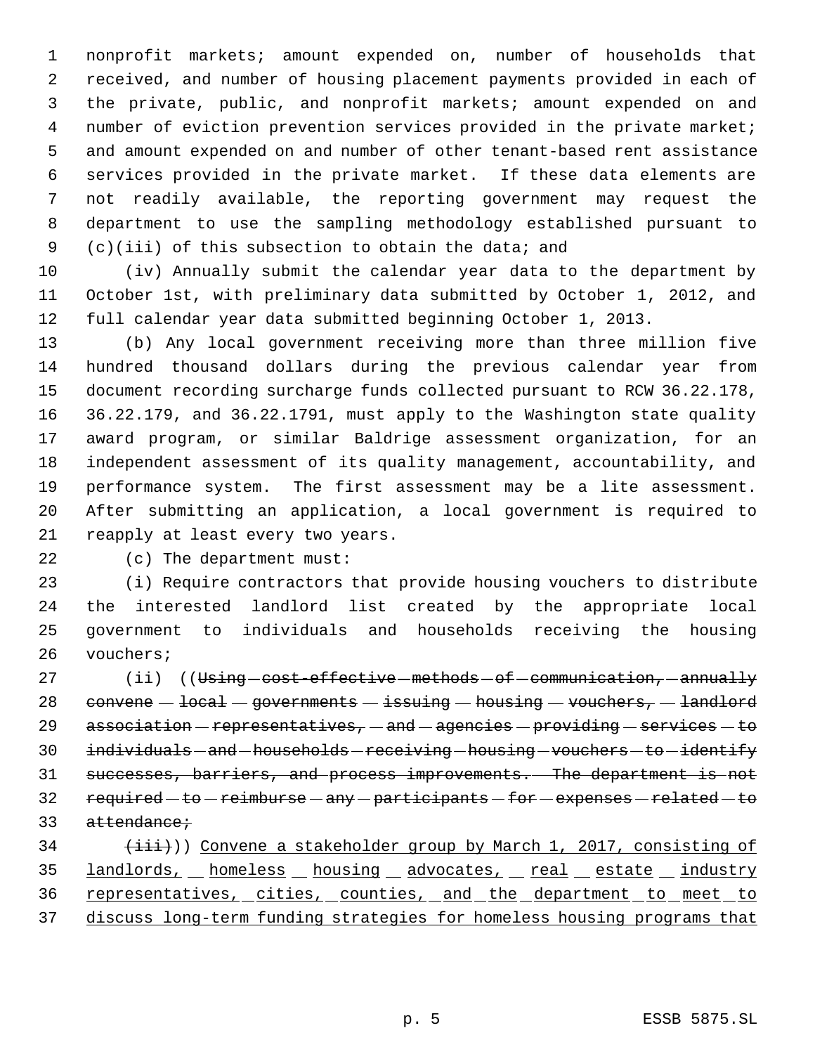nonprofit markets; amount expended on, number of households that received, and number of housing placement payments provided in each of the private, public, and nonprofit markets; amount expended on and number of eviction prevention services provided in the private market; and amount expended on and number of other tenant-based rent assistance services provided in the private market. If these data elements are not readily available, the reporting government may request the department to use the sampling methodology established pursuant to (c)(iii) of this subsection to obtain the data; and

 (iv) Annually submit the calendar year data to the department by October 1st, with preliminary data submitted by October 1, 2012, and full calendar year data submitted beginning October 1, 2013.

 (b) Any local government receiving more than three million five hundred thousand dollars during the previous calendar year from document recording surcharge funds collected pursuant to RCW 36.22.178, 36.22.179, and 36.22.1791, must apply to the Washington state quality award program, or similar Baldrige assessment organization, for an independent assessment of its quality management, accountability, and performance system. The first assessment may be a lite assessment. After submitting an application, a local government is required to reapply at least every two years.

(c) The department must:

 (i) Require contractors that provide housing vouchers to distribute the interested landlord list created by the appropriate local government to individuals and households receiving the housing vouchers;

27 (ii) ((Using cost-effective methods - of communication, annually 28 convene  $-\text{local}-$  governments  $-\text{issuing}-$  housing  $-\text{vouchers}-$  landlord 29  $association-representatives, - and - agencies-providing - services - to$ 30 individuals - and - households - receiving - housing - vouchers - to - identify successes, barriers, and process improvements. The department is not 32 required - to - reimburse - any - participants - for - expenses - related - to 33 attendance;  $(iii)$ )) Convene a stakeholder group by March 1, 2017, consisting of

35 landlords, homeless housing advocates, real estate industry 36 representatives, cities, counties, and the department to meet to discuss long-term funding strategies for homeless housing programs that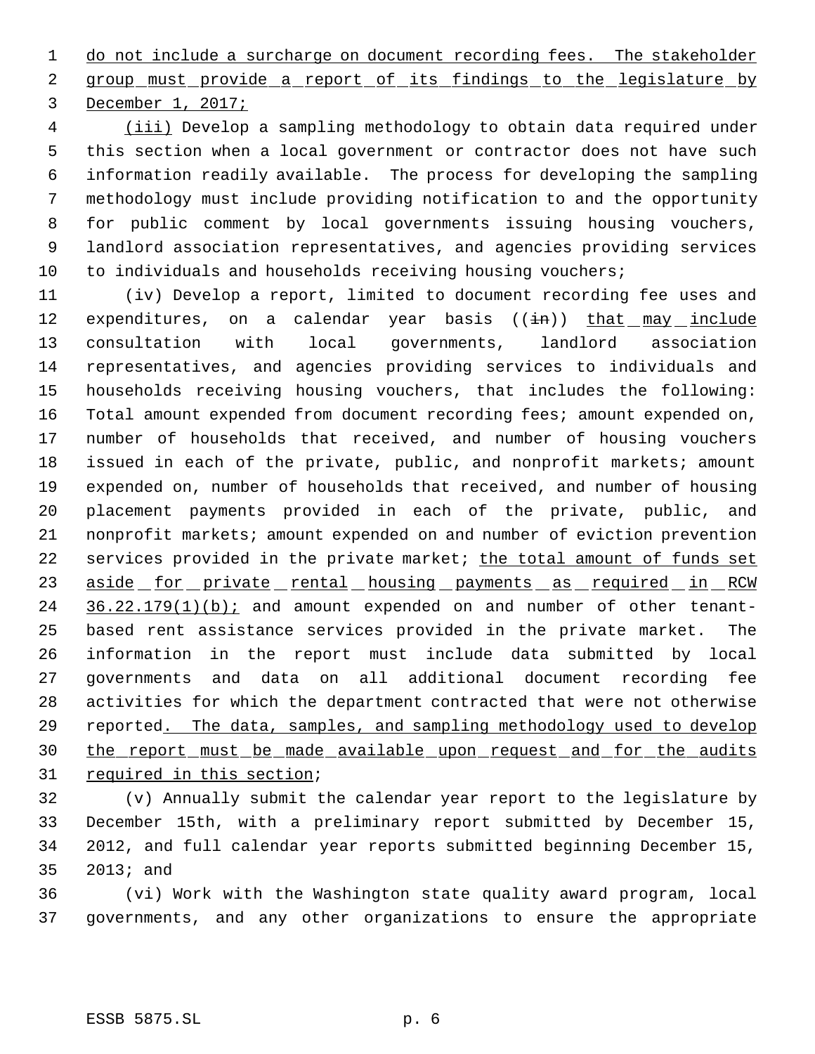1 do not include a surcharge on document recording fees. The stakeholder 2 group must provide a report of its findings to the legislature by December 1, 2017;

4 (iii) Develop a sampling methodology to obtain data required under this section when a local government or contractor does not have such information readily available. The process for developing the sampling methodology must include providing notification to and the opportunity for public comment by local governments issuing housing vouchers, landlord association representatives, and agencies providing services to individuals and households receiving housing vouchers;

 (iv) Develop a report, limited to document recording fee uses and 12 expenditures, on a calendar year basis ((in)) that may include consultation with local governments, landlord association representatives, and agencies providing services to individuals and households receiving housing vouchers, that includes the following: Total amount expended from document recording fees; amount expended on, number of households that received, and number of housing vouchers issued in each of the private, public, and nonprofit markets; amount expended on, number of households that received, and number of housing placement payments provided in each of the private, public, and nonprofit markets; amount expended on and number of eviction prevention 22 services provided in the private market; the total amount of funds set 23 aside for private rental housing payments as required in RCW 24 36.22.179(1)(b); and amount expended on and number of other tenant- based rent assistance services provided in the private market. The information in the report must include data submitted by local governments and data on all additional document recording fee activities for which the department contracted that were not otherwise 29 reported. The data, samples, and sampling methodology used to develop the report must be made available upon request and for the audits 31 required in this section;

 (v) Annually submit the calendar year report to the legislature by December 15th, with a preliminary report submitted by December 15, 2012, and full calendar year reports submitted beginning December 15, 2013; and

 (vi) Work with the Washington state quality award program, local governments, and any other organizations to ensure the appropriate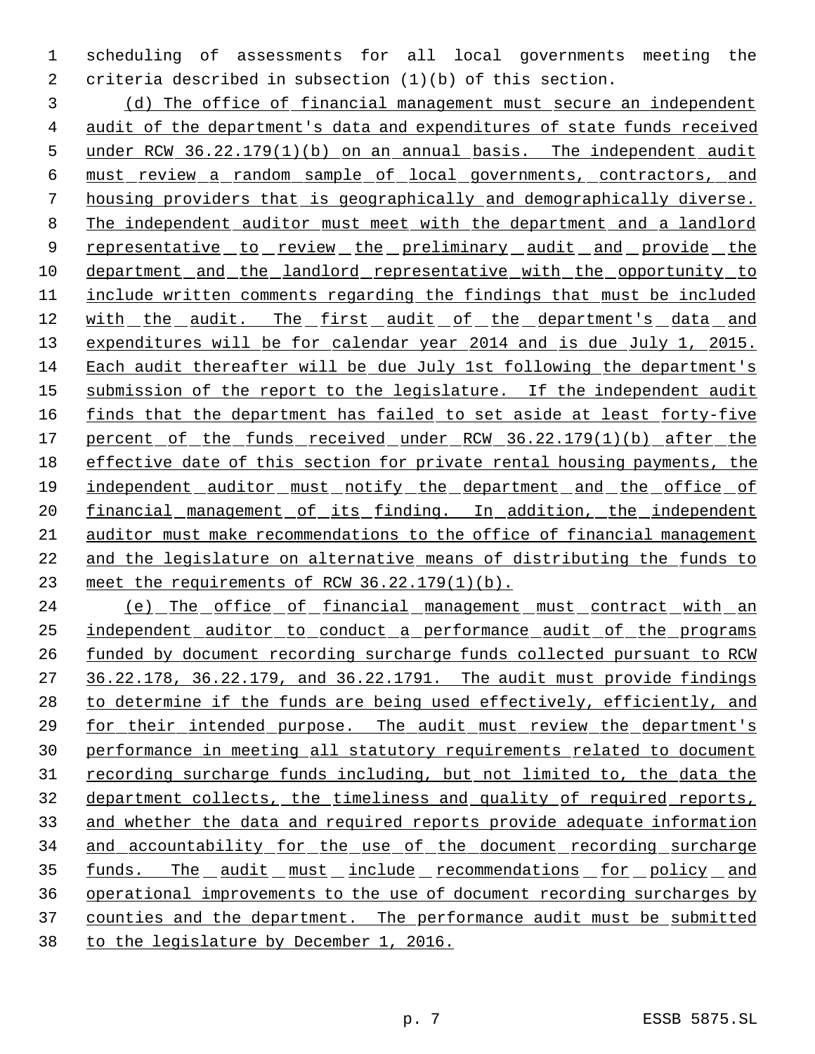scheduling of assessments for all local governments meeting the criteria described in subsection (1)(b) of this section.

 (d) The office of financial management must secure an independent audit of the department's data and expenditures of state funds received 5 under RCW 36.22.179(1)(b) on an annual basis. The independent audit must review a random sample of local governments, contractors, and housing providers that is geographically and demographically diverse. The independent auditor must meet with the department and a landlord 9 representative to review the preliminary audit and provide the department and the landlord representative with the opportunity to include written comments regarding the findings that must be included 12 with the audit. The first audit of the department's data and 13 expenditures will be for calendar year 2014 and is due July 1, 2015. Each audit thereafter will be due July 1st following the department's 15 submission of the report to the legislature. If the independent audit 16 finds that the department has failed to set aside at least forty-five 17 percent of the funds received under RCW 36.22.179(1)(b) after the effective date of this section for private rental housing payments, the 19 independent auditor must notify the department and the office of 20 financial management of its finding. In addition, the independent auditor must make recommendations to the office of financial management and the legislature on alternative means of distributing the funds to meet the requirements of RCW 36.22.179(1)(b).

24 (e) The office of financial management must contract with an independent auditor to conduct a performance audit of the programs funded by document recording surcharge funds collected pursuant to RCW 36.22.178, 36.22.179, and 36.22.1791. The audit must provide findings 28 to determine if the funds are being used effectively, efficiently, and 29 for their intended purpose. The audit must review the department's performance in meeting all statutory requirements related to document 31 recording surcharge funds including, but not limited to, the data the department collects, the timeliness and quality of required reports, and whether the data and required reports provide adequate information and accountability for the use of the document recording surcharge 35 funds. The audit must include recommendations for policy and operational improvements to the use of document recording surcharges by counties and the department. The performance audit must be submitted to the legislature by December 1, 2016.